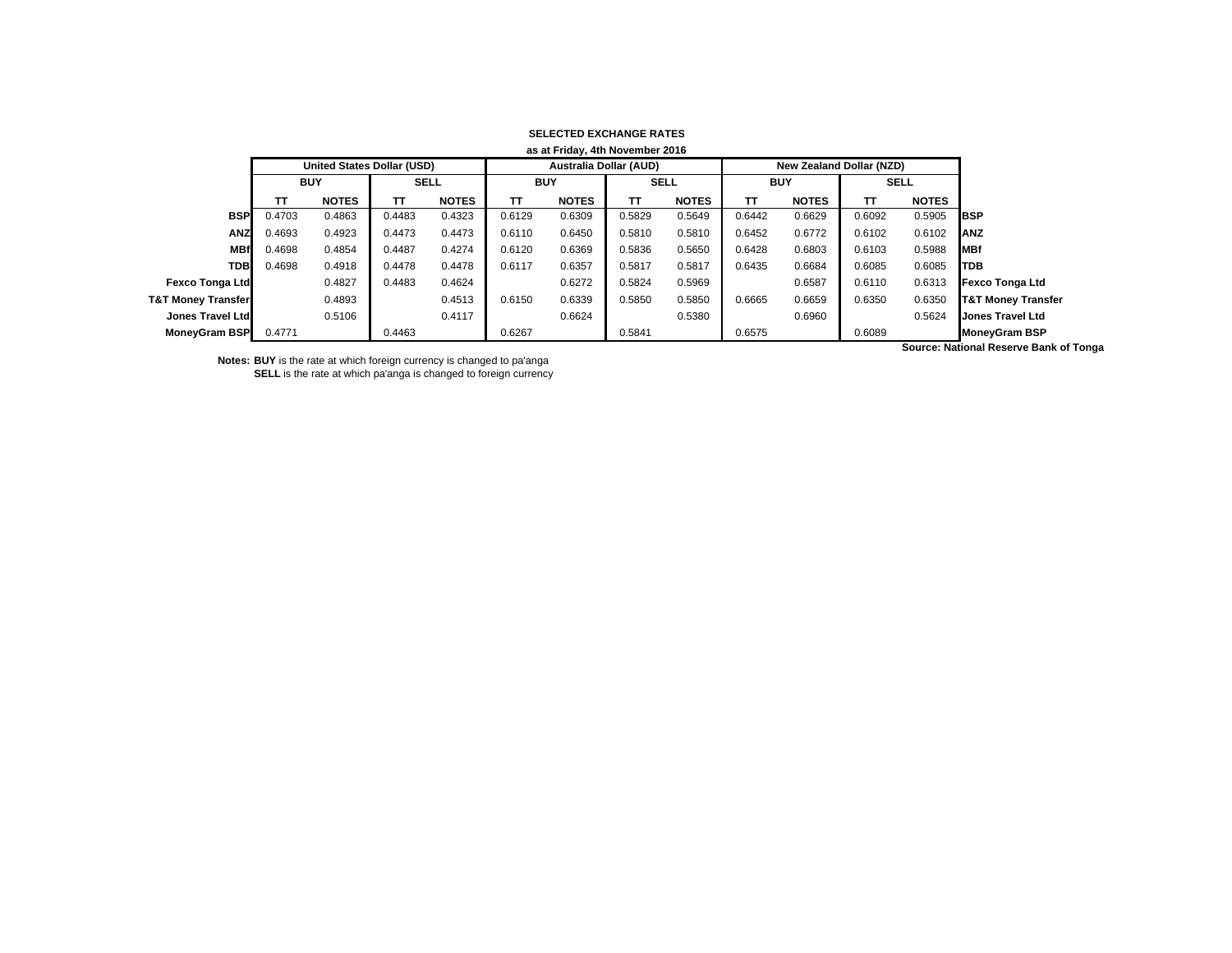| as at Friday, 4th November 2016 |                            |                           |        |              |                               |              |        |              |        |                                 |        |              |                               |
|---------------------------------|----------------------------|---------------------------|--------|--------------|-------------------------------|--------------|--------|--------------|--------|---------------------------------|--------|--------------|-------------------------------|
|                                 | United States Dollar (USD) |                           |        |              | <b>Australia Dollar (AUD)</b> |              |        |              |        | <b>New Zealand Dollar (NZD)</b> |        |              |                               |
|                                 |                            | <b>BUY</b><br><b>SELL</b> |        | <b>BUY</b>   |                               | <b>SELL</b>  |        | <b>BUY</b>   |        | <b>SELL</b>                     |        |              |                               |
|                                 | ΤТ                         | <b>NOTES</b>              | тτ     | <b>NOTES</b> | тт                            | <b>NOTES</b> | TΤ     | <b>NOTES</b> | TΤ     | <b>NOTES</b>                    | тτ     | <b>NOTES</b> |                               |
| <b>BSP</b>                      | 0.4703                     | 0.4863                    | 0.4483 | 0.4323       | 0.6129                        | 0.6309       | 0.5829 | 0.5649       | 0.6442 | 0.6629                          | 0.6092 | 0.5905       | <b>IBSP</b>                   |
| <b>ANZ</b>                      | 0.4693                     | 0.4923                    | 0.4473 | 0.4473       | 0.6110                        | 0.6450       | 0.5810 | 0.5810       | 0.6452 | 0.6772                          | 0.6102 | 0.6102       | <b>ANZ</b>                    |
| <b>MBf</b>                      | 0.4698                     | 0.4854                    | 0.4487 | 0.4274       | 0.6120                        | 0.6369       | 0.5836 | 0.5650       | 0.6428 | 0.6803                          | 0.6103 | 0.5988       | <b>MBf</b>                    |
| <b>TDB</b>                      | 0.4698                     | 0.4918                    | 0.4478 | 0.4478       | 0.6117                        | 0.6357       | 0.5817 | 0.5817       | 0.6435 | 0.6684                          | 0.6085 | 0.6085       | <b>TDB</b>                    |
| <b>Fexco Tonga Ltd</b>          |                            | 0.4827                    | 0.4483 | 0.4624       |                               | 0.6272       | 0.5824 | 0.5969       |        | 0.6587                          | 0.6110 | 0.6313       | Fexco Tonga Ltd               |
| <b>T&amp;T Money Transfer</b>   |                            | 0.4893                    |        | 0.4513       | 0.6150                        | 0.6339       | 0.5850 | 0.5850       | 0.6665 | 0.6659                          | 0.6350 | 0.6350       | <b>T&amp;T Money Transfer</b> |
| Jones Travel Ltd                |                            | 0.5106                    |        | 0.4117       |                               | 0.6624       |        | 0.5380       |        | 0.6960                          |        | 0.5624       | <b>Jones Travel Ltd</b>       |
| <b>MoneyGram BSP</b>            | 0.4771                     |                           | 0.4463 |              | 0.6267                        |              | 0.5841 |              | 0.6575 |                                 | 0.6089 |              | <b>MoneyGram BSP</b>          |

## **SELECTED EXCHANGE RATES**

**Notes: BUY** is the rate at which foreign currency is changed to pa'anga **SELL** is the rate at which pa'anga is changed to foreign currency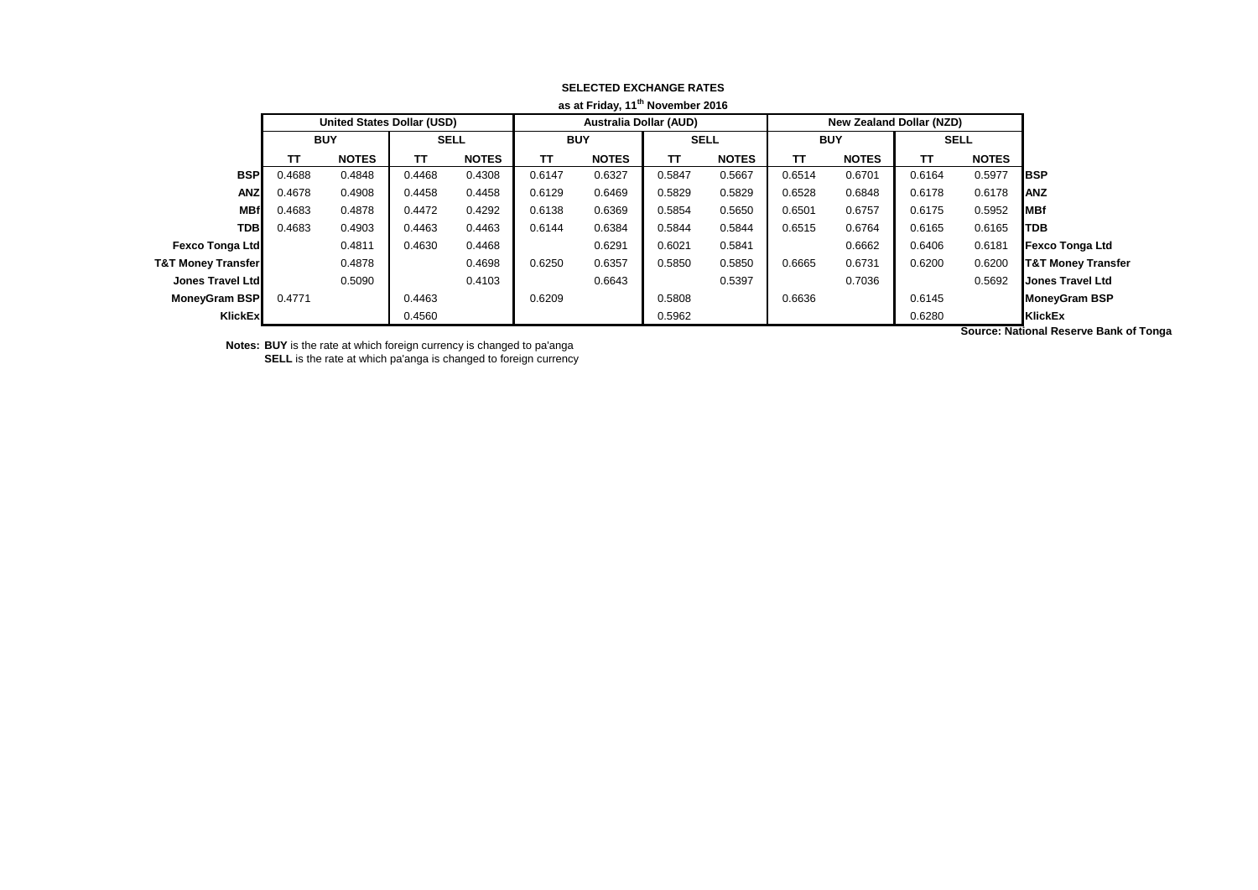| as at Friday, 11 movember 2016 |                                   |              |             |              |                               |              |             |              |            |                                 |             |              |                               |
|--------------------------------|-----------------------------------|--------------|-------------|--------------|-------------------------------|--------------|-------------|--------------|------------|---------------------------------|-------------|--------------|-------------------------------|
|                                | <b>United States Dollar (USD)</b> |              |             |              | <b>Australia Dollar (AUD)</b> |              |             |              |            | <b>New Zealand Dollar (NZD)</b> |             |              |                               |
|                                | <b>BUY</b>                        |              | <b>SELL</b> |              | <b>BUY</b>                    |              | <b>SELL</b> |              | <b>BUY</b> |                                 | <b>SELL</b> |              |                               |
|                                | TΤ                                | <b>NOTES</b> | TΤ          | <b>NOTES</b> | TΤ                            | <b>NOTES</b> | TΤ          | <b>NOTES</b> | ΤT         | <b>NOTES</b>                    | π           | <b>NOTES</b> |                               |
| <b>BSP</b>                     | 0.4688                            | 0.4848       | 0.4468      | 0.4308       | 0.6147                        | 0.6327       | 0.5847      | 0.5667       | 0.6514     | 0.6701                          | 0.6164      | 0.5977       | <b>IBSP</b>                   |
| <b>ANZ</b>                     | 0.4678                            | 0.4908       | 0.4458      | 0.4458       | 0.6129                        | 0.6469       | 0.5829      | 0.5829       | 0.6528     | 0.6848                          | 0.6178      | 0.6178       | <b>IANZ</b>                   |
| <b>MBf</b>                     | 0.4683                            | 0.4878       | 0.4472      | 0.4292       | 0.6138                        | 0.6369       | 0.5854      | 0.5650       | 0.6501     | 0.6757                          | 0.6175      | 0.5952       | <b>MBf</b>                    |
| <b>TDB</b>                     | 0.4683                            | 0.4903       | 0.4463      | 0.4463       | 0.6144                        | 0.6384       | 0.5844      | 0.5844       | 0.6515     | 0.6764                          | 0.6165      | 0.6165       | <b>TDB</b>                    |
| <b>Fexco Tonga Ltd</b>         |                                   | 0.4811       | 0.4630      | 0.4468       |                               | 0.6291       | 0.6021      | 0.5841       |            | 0.6662                          | 0.6406      | 0.6181       | <b>Fexco Tonga Ltd</b>        |
| <b>T&amp;T Money Transfer</b>  |                                   | 0.4878       |             | 0.4698       | 0.6250                        | 0.6357       | 0.5850      | 0.5850       | 0.6665     | 0.6731                          | 0.6200      | 0.6200       | <b>T&amp;T Money Transfer</b> |
| Jones Travel Ltd               |                                   | 0.5090       |             | 0.4103       |                               | 0.6643       |             | 0.5397       |            | 0.7036                          |             | 0.5692       | Jones Travel Ltd              |
| MoneyGram BSP                  | 0.4771                            |              | 0.4463      |              | 0.6209                        |              | 0.5808      |              | 0.6636     |                                 | 0.6145      |              | <b>MoneyGram BSP</b>          |
| KlickEx                        |                                   |              | 0.4560      |              |                               |              | 0.5962      |              |            |                                 | 0.6280      |              | <b>KlickEx</b>                |
|                                |                                   |              |             |              |                               |              |             |              |            |                                 |             |              | .                             |

## **SELECTED EXCHANGE RATES as at Friday, 11th November 2016**

**Notes: BUY** is the rate at which foreign currency is changed to pa'anga

**SELL** is the rate at which pa'anga is changed to foreign currency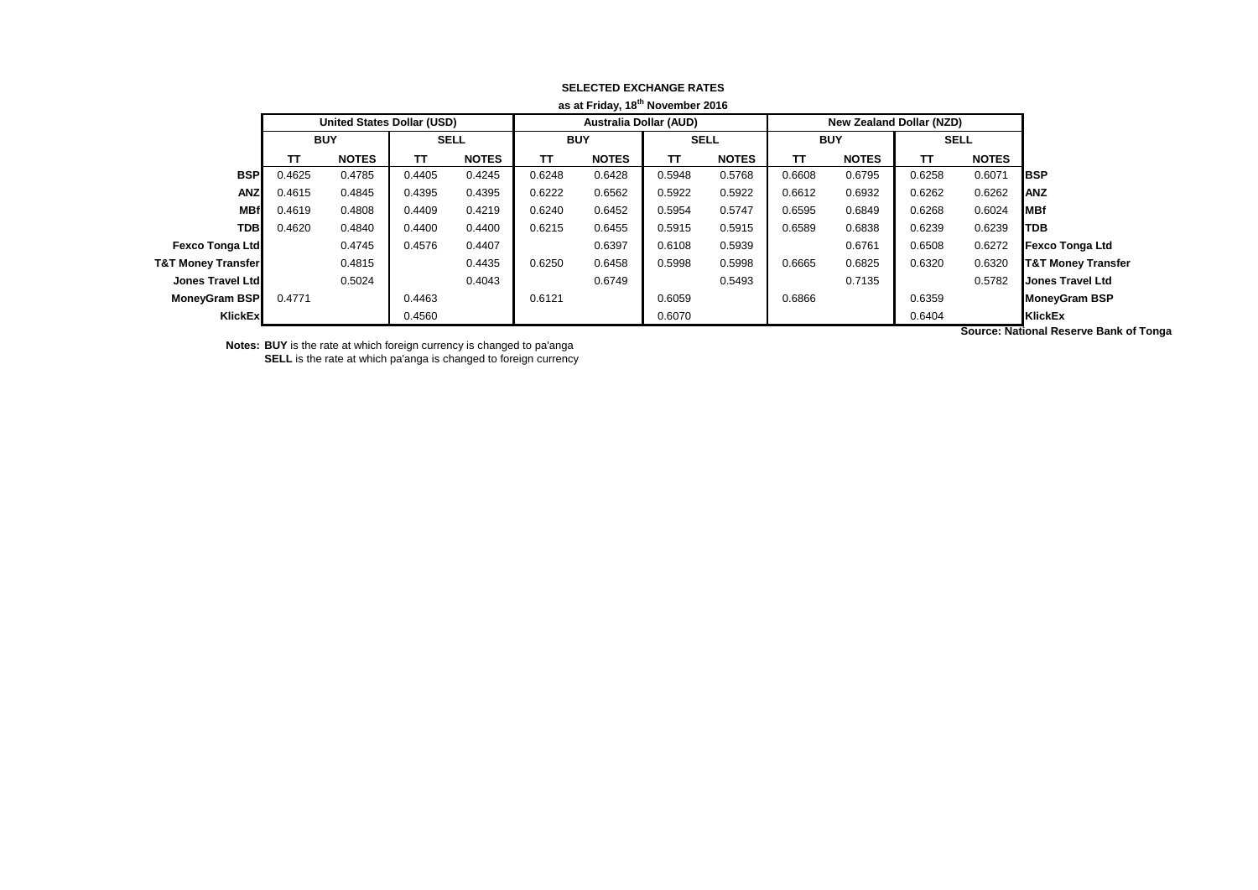| as at Friday, 18" November 2016 |                                   |              |             |              |                               |              |             |              |                                 |              |             |              |                               |
|---------------------------------|-----------------------------------|--------------|-------------|--------------|-------------------------------|--------------|-------------|--------------|---------------------------------|--------------|-------------|--------------|-------------------------------|
|                                 | <b>United States Dollar (USD)</b> |              |             |              | <b>Australia Dollar (AUD)</b> |              |             |              | <b>New Zealand Dollar (NZD)</b> |              |             |              |                               |
|                                 | <b>BUY</b>                        |              | <b>SELL</b> |              | <b>BUY</b>                    |              | <b>SELL</b> |              | <b>BUY</b>                      |              | <b>SELL</b> |              |                               |
|                                 | TΤ                                | <b>NOTES</b> | TΤ          | <b>NOTES</b> | TΤ                            | <b>NOTES</b> | TΤ          | <b>NOTES</b> | ΤT                              | <b>NOTES</b> | π           | <b>NOTES</b> |                               |
| <b>BSP</b>                      | 0.4625                            | 0.4785       | 0.4405      | 0.4245       | 0.6248                        | 0.6428       | 0.5948      | 0.5768       | 0.6608                          | 0.6795       | 0.6258      | 0.6071       | <b>BSP</b>                    |
| <b>ANZ</b>                      | 0.4615                            | 0.4845       | 0.4395      | 0.4395       | 0.6222                        | 0.6562       | 0.5922      | 0.5922       | 0.6612                          | 0.6932       | 0.6262      | 0.6262       | <b>ANZ</b>                    |
| <b>MBf</b>                      | 0.4619                            | 0.4808       | 0.4409      | 0.4219       | 0.6240                        | 0.6452       | 0.5954      | 0.5747       | 0.6595                          | 0.6849       | 0.6268      | 0.6024       | <b>MBf</b>                    |
| <b>TDB</b>                      | 0.4620                            | 0.4840       | 0.4400      | 0.4400       | 0.6215                        | 0.6455       | 0.5915      | 0.5915       | 0.6589                          | 0.6838       | 0.6239      | 0.6239       | <b>TDB</b>                    |
| <b>Fexco Tonga Ltd</b>          |                                   | 0.4745       | 0.4576      | 0.4407       |                               | 0.6397       | 0.6108      | 0.5939       |                                 | 0.6761       | 0.6508      | 0.6272       | <b>Fexco Tonga Ltd</b>        |
| <b>T&amp;T Money Transfer</b>   |                                   | 0.4815       |             | 0.4435       | 0.6250                        | 0.6458       | 0.5998      | 0.5998       | 0.6665                          | 0.6825       | 0.6320      | 0.6320       | <b>T&amp;T Money Transfer</b> |
| Jones Travel Ltd                |                                   | 0.5024       |             | 0.4043       |                               | 0.6749       |             | 0.5493       |                                 | 0.7135       |             | 0.5782       | Jones Travel Ltd              |
| <b>MoneyGram BSP</b>            | 0.4771                            |              | 0.4463      |              | 0.6121                        |              | 0.6059      |              | 0.6866                          |              | 0.6359      |              | <b>MoneyGram BSP</b>          |
| KlickEx                         |                                   |              | 0.4560      |              |                               |              | 0.6070      |              |                                 |              | 0.6404      |              | <b>KlickEx</b>                |
|                                 |                                   |              |             |              |                               |              |             |              |                                 |              |             |              | .                             |

## **SELECTED EXCHANGE RATES as at Friday, 18th November 2016**

**Notes: BUY** is the rate at which foreign currency is changed to pa'anga

**SELL** is the rate at which pa'anga is changed to foreign currency